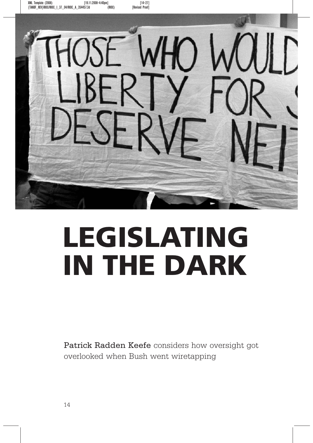

# LEGISLATING IN THE DARK

Patrick Radden Keefe considers how oversight got overlooked when Bush went wiretapping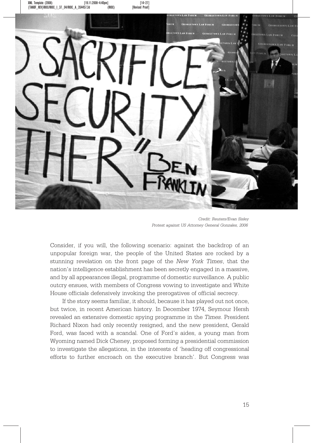

Credit: Reuters/Evan Sisley Protest against US Attorney General Gonzales, 2006

Consider, if you will, the following scenario: against the backdrop of an unpopular foreign war, the people of the United States are rocked by a stunning revelation on the front page of the New York Times, that the nation's intelligence establishment has been secretly engaged in a massive, and by all appearances illegal, programme of domestic surveillance. A public outcry ensues, with members of Congress vowing to investigate and White House officials defensively invoking the prerogatives of official secrecy.

If the story seems familiar, it should, because it has played out not once, but twice, in recent American history. In December 1974, Seymour Hersh revealed an extensive domestic spying programme in the Times. President Richard Nixon had only recently resigned, and the new president, Gerald Ford, was faced with a scandal. One of Ford's aides, a young man from Wyoming named Dick Cheney, proposed forming a presidential commission to investigate the allegations, in the interests of 'heading off congressional efforts to further encroach on the executive branch'. But Congress was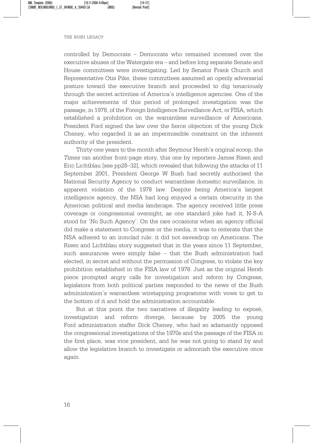controlled by Democrats – Democrats who remained incensed over the executive abuses of the Watergate era – and before long separate Senate and House committees were investigating. Led by Senator Frank Church and Representative Otis Pike, these committees assumed an openly adversarial posture toward the executive branch and proceeded to dig tenaciously through the secret activities of America's intelligence agencies. One of the major achievements of this period of prolonged investigation was the passage, in 1978, of the Foreign Intelligence Surveillance Act, or FISA, which established a prohibition on the warrantless surveillance of Americans. President Ford signed the law over the fierce objection of the young Dick Cheney, who regarded it as an impermissible constraint on the inherent authority of the president.

Thirty-one years to the month after Seymour Hersh's original scoop, the Times ran another front-page story, this one by reporters James Risen and Eric Lichtblau [see pp28–32], which revealed that following the attacks of 11 September 2001, President George W Bush had secretly authorised the National Security Agency to conduct warrantless domestic surveillance, in apparent violation of the 1978 law. Despite being America's largest intelligence agency, the NSA had long enjoyed a certain obscurity in the American political and media landscape. The agency received little press coverage or congressional oversight; as one standard joke had it, N-S-A stood for 'No Such Agency'. On the rare occasions when an agency official did make a statement to Congress or the media, it was to reiterate that the NSA adhered to an ironclad rule: it did not eavesdrop on Americans. The Risen and Lichtblau story suggested that in the years since 11 September, such assurances were simply false – that the Bush administration had elected, in secret and without the permission of Congress, to violate the key prohibition established in the FISA law of 1978. Just as the original Hersh piece prompted angry calls for investigation and reform by Congress, legislators from both political parties responded to the news of the Bush administration's warrantless wiretapping programme with vows to get to the bottom of it and hold the administration accountable.

But at this point the two narratives of illegality leading to exposé, investigation and reform diverge, because by 2005 the young Ford administration staffer Dick Cheney, who had so adamantly opposed the congressional investigations of the 1970s and the passage of the FISA in the first place, was vice president, and he was not going to stand by and allow the legislative branch to investigate or admonish the executive once again.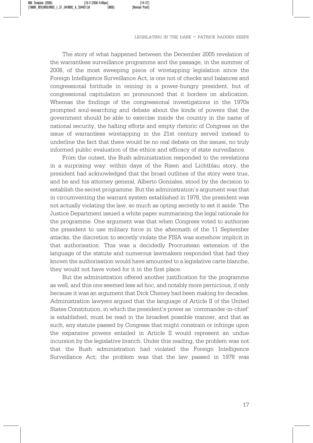LEGISLATING IN THE DARK – PATRICK RADDEN KEEFE

The story of what happened between the December 2005 revelation of the warrantless surveillance programme and the passage, in the summer of 2008, of the most sweeping piece of wiretapping legislation since the Foreign Intelligence Surveillance Act, is one not of checks and balances and congressional fortitude in reining in a power-hungry president, but of congressional capitulation so pronounced that it borders on abdication. Whereas the findings of the congressional investigations in the 1970s prompted soul-searching and debate about the kinds of powers that the government should be able to exercise inside the country in the name of national security, the halting efforts and empty rhetoric of Congress on the issue of warrantless wiretapping in the 21st century served instead to underline the fact that there would be no real debate on the issues, no truly informed public evaluation of the ethics and efficacy of state surveillance.

From the outset, the Bush administration responded to the revelations in a surprising way: within days of the Risen and Lichtblau story, the president had acknowledged that the broad outlines of the story were true, and he and his attorney general, Alberto Gonzales, stood by the decision to establish the secret programme. But the administration's argument was that in circumventing the warrant system established in 1978, the president was not actually violating the law, so much as opting secretly to set it aside. The Justice Department issued a white paper summarising the legal rationale for the programme. One argument was that when Congress voted to authorise the president to use military force in the aftermath of the 11 September attacks, the discretion to secretly violate the FISA was somehow implicit in that authorisation. This was a decidedly Procrustean extension of the language of the statute and numerous lawmakers responded that had they known the authorisation would have amounted to a legislative carte blanche, they would not have voted for it in the first place.

But the administration offered another justification for the programme as well, and this one seemed less ad hoc, and notably more pernicious, if only because it was an argument that Dick Cheney had been making for decades. Administration lawyers argued that the language of Article II of the United States Constitution, in which the president's power as 'commander-in-chief' is established, must be read in the broadest possible manner, and that as such, any statute passed by Congress that might constrain or infringe upon the expansive powers entailed in Article II would represent an undue incursion by the legislative branch. Under this reading, the problem was not that the Bush administration had violated the Foreign Intelligence Surveillance Act; the problem was that the law passed in 1978 was

17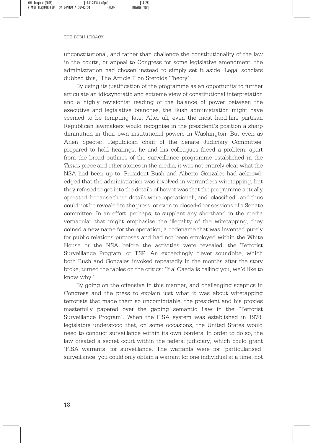unconstitutional, and rather than challenge the constitutionality of the law in the courts, or appeal to Congress for some legislative amendment, the administration had chosen instead to simply set it aside. Legal scholars dubbed this, 'The Article II on Steroids Theory'.

By using its justification of the programme as an opportunity to further articulate an idiosyncratic and extreme view of constitutional interpretation and a highly revisionist reading of the balance of power between the executive and legislative branches, the Bush administration might have seemed to be tempting fate. After all, even the most hard-line partisan Republican lawmakers would recognise in the president's position a sharp diminution in their own institutional powers in Washington. But even as Arlen Specter, Republican chair of the Senate Judiciary Committee, prepared to hold hearings, he and his colleagues faced a problem: apart from the broad outlines of the surveillance programme established in the Times piece and other stories in the media, it was not entirely clear what the NSA had been up to. President Bush and Alberto Gonzales had acknowledged that the administration was involved in warrantless wiretapping, but they refused to get into the details of how it was that the programme actually operated, because those details were 'operational', and 'classified', and thus could not be revealed to the press, or even to closed-door sessions of a Senate committee. In an effort, perhaps, to supplant any shorthand in the media vernacular that might emphasise the illegality of the wiretapping, they coined a new name for the operation, a codename that was invented purely for public relations purposes and had not been employed within the White House or the NSA before the activities were revealed: the Terrorist Surveillance Program, or TSP. An exceedingly clever soundbite, which both Bush and Gonzales invoked repeatedly in the months after the story broke, turned the tables on the critics: 'If al Qaeda is calling you, we'd like to know why.'

By going on the offensive in this manner, and challenging sceptics in Congress and the press to explain just what it was about wiretapping terrorists that made them so uncomfortable, the president and his proxies masterfully papered over the gaping semantic flaw in the 'Terrorist Surveillance Program'. When the FISA system was established in 1978, legislators understood that, on some occasions, the United States would need to conduct surveillance within its own borders. In order to do so, the law created a secret court within the federal judiciary, which could grant 'FISA warrants' for surveillance. The warrants were for 'particularised' surveillance: you could only obtain a warrant for one individual at a time, not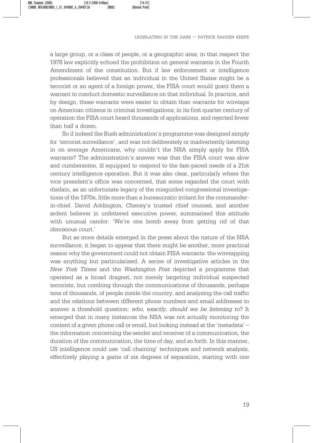#### LEGISLATING IN THE DARK – PATRICK RADDEN KEEFE

a large group, or a class of people, or a geographic area; in that respect the 1978 law explicitly echoed the prohibition on general warrants in the Fourth Amendment of the constitution. But if law enforcement or intelligence professionals believed that an individual in the United States might be a terrorist or an agent of a foreign power, the FISA court would grant them a warrant to conduct domestic surveillance on that individual. In practice, and by design, these warrants were easier to obtain than warrants for wiretaps on American citizens in criminal investigations; in its first quarter century of operation the FISA court heard thousands of applications, and rejected fewer than half a dozen.

So if indeed the Bush administration's programme was designed simply for 'terrorist surveillance', and was not deliberately or inadvertently listening in on average Americans, why couldn't the NSA simply apply for FISA warrants? The administration's answer was that the FISA court was slow and cumbersome, ill equipped to respond to the fast-paced needs of a 21st century intelligence operation. But it was also clear, particularly where the vice president's office was concerned, that some regarded the court with disdain, as an unfortunate legacy of the misguided congressional investigations of the 1970s, little more than a bureaucratic irritant for the commanderin-chief. David Addington, Cheney's trusted chief counsel, and another ardent believer in unfettered executive power, summarised this attitude with unusual candor: 'We're one bomb away from getting rid of that obnoxious court.'

But as more details emerged in the press about the nature of the NSA surveillance, it began to appear that there might be another, more practical reason why the government could not obtain FISA warrants: the wiretapping was anything but particularised. A series of investigative articles in the New York Times and the Washington Post depicted a programme that operated as a broad dragnet, not merely targeting individual suspected terrorists, but combing through the communications of thousands, perhaps tens of thousands, of people inside the country, and analysing the call traffic and the relations between different phone numbers and email addresses to answer a threshold question: who, exactly, should we be listening to? It emerged that in many instances the NSA was not actually monitoring the content of a given phone call or email, but looking instead at the 'metadata' – the information concerning the sender and receiver of a communication, the duration of the communication, the time of day, and so forth. In this manner, US intelligence could use 'call chaining' techniques and network analysis, effectively playing a game of six degrees of separation, starting with one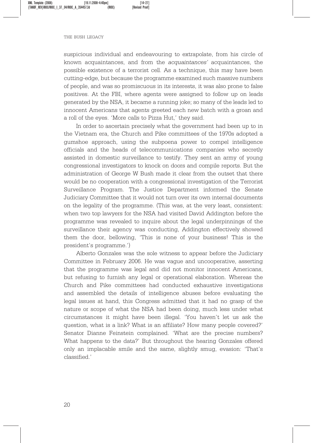suspicious individual and endeavouring to extrapolate, from his circle of known acquaintances, and from the acquaintances' acquaintances, the possible existence of a terrorist cell. As a technique, this may have been cutting-edge, but because the programme examined such massive numbers of people, and was so promiscuous in its interests, it was also prone to false positives. At the FBI, where agents were assigned to follow up on leads generated by the NSA, it became a running joke; so many of the leads led to innocent Americans that agents greeted each new batch with a groan and a roll of the eyes. 'More calls to Pizza Hut,' they said.

In order to ascertain precisely what the government had been up to in the Vietnam era, the Church and Pike committees of the 1970s adopted a gumshoe approach, using the subpoena power to compel intelligence officials and the heads of telecommunications companies who secretly assisted in domestic surveillance to testify. They sent an army of young congressional investigators to knock on doors and compile reports. But the administration of George W Bush made it clear from the outset that there would be no cooperation with a congressional investigation of the Terrorist Surveillance Program. The Justice Department informed the Senate Judiciary Committee that it would not turn over its own internal documents on the legality of the programme. (This was, at the very least, consistent: when two top lawyers for the NSA had visited David Addington before the programme was revealed to inquire about the legal underpinnings of the surveillance their agency was conducting, Addington effectively showed them the door, bellowing, 'This is none of your business! This is the president's programme.')

Alberto Gonzales was the sole witness to appear before the Judiciary Committee in February 2006. He was vague and uncooperative, asserting that the programme was legal and did not monitor innocent Americans, but refusing to furnish any legal or operational elaboration. Whereas the Church and Pike committees had conducted exhaustive investigations and assembled the details of intelligence abuses before evaluating the legal issues at hand, this Congress admitted that it had no grasp of the nature or scope of what the NSA had been doing, much less under what circumstances it might have been illegal. 'You haven't let us ask the question, what is a link? What is an affiliate? How many people covered?' Senator Dianne Feinstein complained. 'What are the precise numbers? What happens to the data?' But throughout the hearing Gonzales offered only an implacable smile and the same, slightly smug, evasion: 'That's classified.'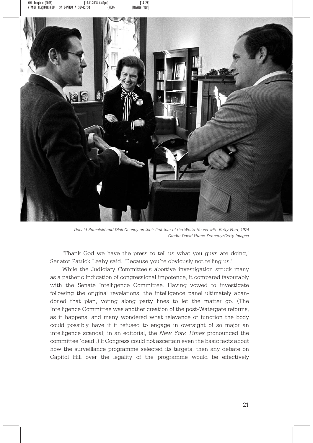

Donald Rumsfeld and Dick Cheney on their first tour of the White House with Betty Ford, 1974 Credit: David Hume Kennerly/Getty Images

'Thank God we have the press to tell us what you guys are doing,' Senator Patrick Leahy said. 'Because you're obviously not telling us.'

While the Judiciary Committee's abortive investigation struck many as a pathetic indication of congressional impotence, it compared favourably with the Senate Intelligence Committee. Having vowed to investigate following the original revelations, the intelligence panel ultimately abandoned that plan, voting along party lines to let the matter go. (The Intelligence Committee was another creation of the post-Watergate reforms, as it happens, and many wondered what relevance or function the body could possibly have if it refused to engage in oversight of so major an intelligence scandal; in an editorial, the New York Times pronounced the committee 'dead'.) If Congress could not ascertain even the basic facts about how the surveillance programme selected its targets, then any debate on Capitol Hill over the legality of the programme would be effectively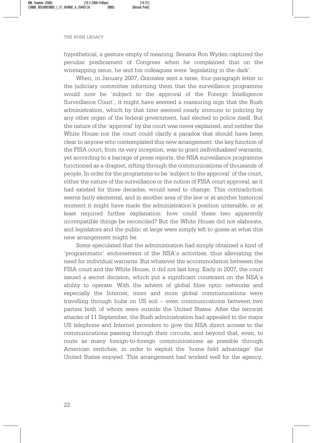hypothetical, a gesture empty of meaning. Senator Ron Wyden captured the peculiar predicament of Congress when he complained that on the wiretapping issue, he and his colleagues were 'legislating in the dark'.

When, in January 2007, Gonzales sent a terse, four-paragraph letter to the judiciary committee informing them that the surveillance programme would now be 'subject to the approval of the Foreign Intelligence Surveillance Court', it might have seemed a reassuring sign that the Bush administration, which by that time seemed nearly immune to policing by any other organ of the federal government, had elected to police itself. But the nature of the 'approval' by the court was never explained, and neither the White House nor the court could clarify a paradox that should have been clear to anyone who contemplated this new arrangement: the key function of the FISA court, from its very inception, was to grant individualised warrants, yet according to a barrage of press reports, the NSA surveillance programme functioned as a dragnet, sifting through the communications of thousands of people. In order for the programme to be 'subject to the approval' of the court, either the nature of the surveillance or the notion of FISA court approval, as it had existed for three decades, would need to change. This contradiction seems fairly elemental, and in another area of the law or at another historical moment it might have made the administration's position untenable, or at least required further explanation: how could these two apparently incompatible things be reconciled? But the White House did not elaborate, and legislators and the public at large were simply left to guess at what this new arrangement might be.

Some speculated that the administration had simply obtained a kind of 'programmatic' endorsement of the NSA's activities, thus alleviating the need for individual warrants. But whatever the accommodation between the FISA court and the White House, it did not last long. Early in 2007, the court issued a secret decision, which put a significant constraint on the NSA's ability to operate. With the advent of global fibre optic networks and especially the Internet, more and more global communications were travelling through hubs on US soil – even communications between two parties both of whom were outside the United States. After the terrorist attacks of 11 September, the Bush administration had appealed to the major US telephone and Internet providers to give the NSA direct access to the communications passing through their circuits, and beyond that, even, to route as many foreign-to-foreign communications as possible through American switches, in order to exploit the 'home field advantage' the United States enjoyed. This arrangement had worked well for the agency,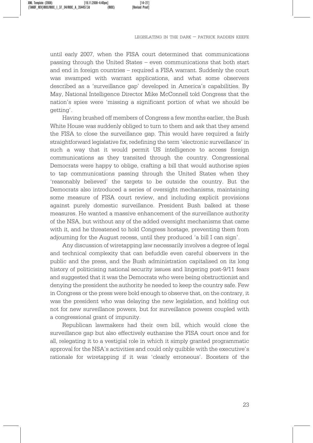until early 2007, when the FISA court determined that communications passing through the United States – even communications that both start and end in foreign countries – required a FISA warrant. Suddenly the court was swamped with warrant applications, and what some observers described as a 'surveillance gap' developed in America's capabilities. By May, National Intelligence Director Mike McConnell told Congress that the nation's spies were 'missing a significant portion of what we should be getting'.

Having brushed off members of Congress a few months earlier, the Bush White House was suddenly obliged to turn to them and ask that they amend the FISA to close the surveillance gap. This would have required a fairly straightforward legislative fix, redefining the term 'electronic surveillance' in such a way that it would permit US intelligence to access foreign communications as they transited through the country. Congressional Democrats were happy to oblige, crafting a bill that would authorise spies to tap communications passing through the United States when they 'reasonably believed' the targets to be outside the country. But the Democrats also introduced a series of oversight mechanisms, maintaining some measure of FISA court review, and including explicit provisions against purely domestic surveillance. President Bush balked at these measures. He wanted a massive enhancement of the surveillance authority of the NSA, but without any of the added oversight mechanisms that came with it, and he threatened to hold Congress hostage, preventing them from adjourning for the August recess, until they produced 'a bill I can sign'.

Any discussion of wiretapping law necessarily involves a degree of legal and technical complexity that can befuddle even careful observers in the public and the press, and the Bush administration capitalised on its long history of politicising national security issues and lingering post-9/11 fears and suggested that it was the Democrats who were being obstructionist and denying the president the authority he needed to keep the country safe. Few in Congress or the press were bold enough to observe that, on the contrary, it was the president who was delaying the new legislation, and holding out not for new surveillance powers, but for surveillance powers coupled with a congressional grant of impunity.

Republican lawmakers had their own bill, which would close the surveillance gap but also effectively euthanise the FISA court once and for all, relegating it to a vestigial role in which it simply granted programmatic approval for the NSA's activities and could only quibble with the executive's rationale for wiretapping if it was 'clearly erroneous'. Boosters of the

23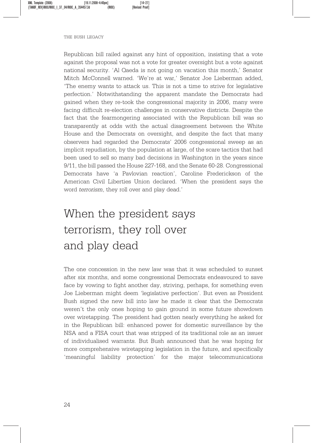Republican bill railed against any hint of opposition, insisting that a vote against the proposal was not a vote for greater oversight but a vote against national security. 'Al Qaeda is not going on vacation this month,' Senator Mitch McConnell warned. 'We're at war,' Senator Joe Lieberman added, 'The enemy wants to attack us. This is not a time to strive for legislative perfection.' Notwithstanding the apparent mandate the Democrats had gained when they re-took the congressional majority in 2006, many were facing difficult re-election challenges in conservative districts. Despite the fact that the fearmongering associated with the Republican bill was so transparently at odds with the actual disagreement between the White House and the Democrats on oversight, and despite the fact that many observers had regarded the Democrats' 2006 congressional sweep as an implicit repudiation, by the population at large, of the scare tactics that had been used to sell so many bad decisions in Washington in the years since 9/11, the bill passed the House 227-168, and the Senate 60-28. Congressional Democrats have 'a Pavlovian reaction', Caroline Frederickson of the American Civil Liberties Union declared. 'When the president says the word terrorism, they roll over and play dead.'

# When the president says terrorism, they roll over and play dead

The one concession in the new law was that it was scheduled to sunset after six months, and some congressional Democrats endeavoured to save face by vowing to fight another day, striving, perhaps, for something even Joe Lieberman might deem 'legislative perfection'. But even as President Bush signed the new bill into law he made it clear that the Democrats weren't the only ones hoping to gain ground in some future showdown over wiretapping. The president had gotten nearly everything he asked for in the Republican bill: enhanced power for domestic surveillance by the NSA and a FISA court that was stripped of its traditional role as an issuer of individualised warrants. But Bush announced that he was hoping for more comprehensive wiretapping legislation in the future, and specifically 'meaningful liability protection' for the major telecommunications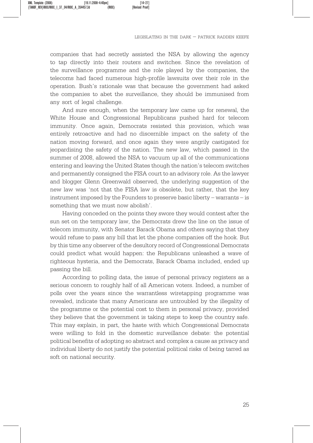companies that had secretly assisted the NSA by allowing the agency to tap directly into their routers and switches. Since the revelation of the surveillance programme and the role played by the companies, the telecoms had faced numerous high-profile lawsuits over their role in the operation. Bush's rationale was that because the government had asked the companies to abet the surveillance, they should be immunised from any sort of legal challenge.

XML Template (2008) [19.11.2008–4:40pm] [14–27] {TANDF\_REV}RIOC/RIOC\_I\_37\_04/RIOC\_A\_354457.3d (RIOC) [Revised Proof]

> And sure enough, when the temporary law came up for renewal, the White House and Congressional Republicans pushed hard for telecom immunity. Once again, Democrats resisted this provision, which was entirely retroactive and had no discernible impact on the safety of the nation moving forward, and once again they were angrily castigated for jeopardising the safety of the nation. The new law, which passed in the summer of 2008, allowed the NSA to vacuum up all of the communications entering and leaving the United States though the nation's telecom switches and permanently consigned the FISA court to an advisory role. As the lawyer and blogger Glenn Greenwald observed, the underlying suggestion of the new law was 'not that the FISA law is obsolete, but rather, that the key instrument imposed by the Founders to preserve basic liberty – warrants – is something that we must now abolish'.

> Having conceded on the points they swore they would contest after the sun set on the temporary law, the Democrats drew the line on the issue of telecom immunity, with Senator Barack Obama and others saying that they would refuse to pass any bill that let the phone companies off the hook. But by this time any observer of the desultory record of Congressional Democrats could predict what would happen: the Republicans unleashed a wave of righteous hysteria, and the Democrats, Barack Obama included, ended up passing the bill.

> According to polling data, the issue of personal privacy registers as a serious concern to roughly half of all American voters. Indeed, a number of polls over the years since the warrantless wiretapping programme was revealed, indicate that many Americans are untroubled by the illegality of the programme or the potential cost to them in personal privacy, provided they believe that the government is taking steps to keep the country safe. This may explain, in part, the haste with which Congressional Democrats were willing to fold in the domestic surveillance debate: the potential political benefits of adopting so abstract and complex a cause as privacy and individual liberty do not justify the potential political risks of being tarred as soft on national security.

> > 25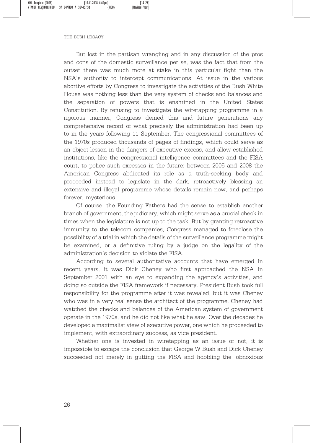But lost in the partisan wrangling and in any discussion of the pros and cons of the domestic surveillance per se, was the fact that from the outset there was much more at stake in this particular fight than the NSA's authority to intercept communications. At issue in the various abortive efforts by Congress to investigate the activities of the Bush White House was nothing less than the very system of checks and balances and the separation of powers that is enshrined in the United States Constitution. By refusing to investigate the wiretapping programme in a rigorous manner, Congress denied this and future generations any comprehensive record of what precisely the administration had been up to in the years following 11 September. The congressional committees of the 1970s produced thousands of pages of findings, which could serve as an object lesson in the dangers of executive excess, and allow established institutions, like the congressional intelligence committees and the FISA court, to police such excesses in the future; between 2005 and 2008 the American Congress abdicated its role as a truth-seeking body and proceeded instead to legislate in the dark, retroactively blessing an extensive and illegal programme whose details remain now, and perhaps forever, mysterious.

Of course, the Founding Fathers had the sense to establish another branch of government, the judiciary, which might serve as a crucial check in times when the legislature is not up to the task. But by granting retroactive immunity to the telecom companies, Congress managed to foreclose the possibility of a trial in which the details of the surveillance programme might be examined, or a definitive ruling by a judge on the legality of the administration's decision to violate the FISA.

According to several authoritative accounts that have emerged in recent years, it was Dick Cheney who first approached the NSA in September 2001 with an eye to expanding the agency's activities, and doing so outside the FISA framework if necessary. President Bush took full responsibility for the programme after it was revealed, but it was Cheney who was in a very real sense the architect of the programme. Cheney had watched the checks and balances of the American system of government operate in the 1970s, and he did not like what he saw. Over the decades he developed a maximalist view of executive power, one which he proceeded to implement, with extraordinary success, as vice president.

Whether one is invested in wiretapping as an issue or not, it is impossible to escape the conclusion that George W Bush and Dick Cheney succeeded not merely in gutting the FISA and hobbling the 'obnoxious